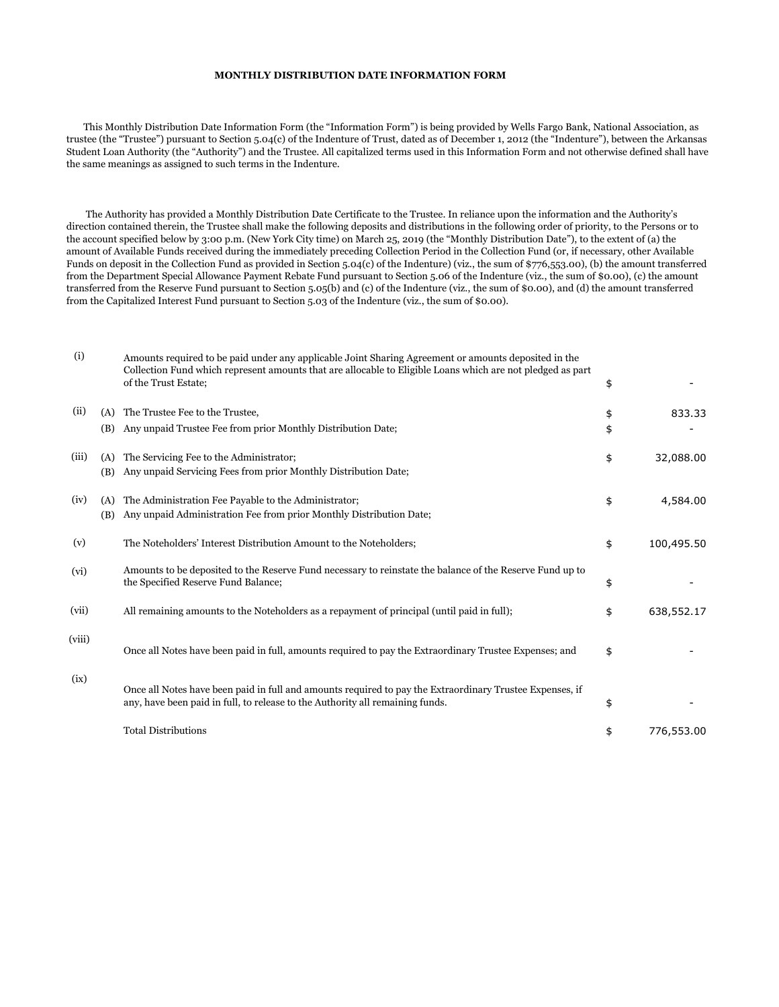## **MONTHLY DISTRIBUTION DATE INFORMATION FORM**

 This Monthly Distribution Date Information Form (the "Information Form") is being provided by Wells Fargo Bank, National Association, as trustee (the "Trustee") pursuant to Section 5.04(c) of the Indenture of Trust, dated as of December 1, 2012 (the "Indenture"), between the Arkansas Student Loan Authority (the "Authority") and the Trustee. All capitalized terms used in this Information Form and not otherwise defined shall have the same meanings as assigned to such terms in the Indenture.

 The Authority has provided a Monthly Distribution Date Certificate to the Trustee. In reliance upon the information and the Authority's direction contained therein, the Trustee shall make the following deposits and distributions in the following order of priority, to the Persons or to the account specified below by 3:00 p.m. (New York City time) on March 25, 2019 (the "Monthly Distribution Date"), to the extent of (a) the amount of Available Funds received during the immediately preceding Collection Period in the Collection Fund (or, if necessary, other Available Funds on deposit in the Collection Fund as provided in Section 5.04(c) of the Indenture) (viz., the sum of \$776,553.00), (b) the amount transferred from the Department Special Allowance Payment Rebate Fund pursuant to Section 5.06 of the Indenture (viz., the sum of \$0.00), (c) the amount transferred from the Reserve Fund pursuant to Section 5.05(b) and (c) of the Indenture (viz., the sum of \$0.00), and (d) the amount transferred from the Capitalized Interest Fund pursuant to Section 5.03 of the Indenture (viz., the sum of \$0.00).

| (i)    |            | Amounts required to be paid under any applicable Joint Sharing Agreement or amounts deposited in the<br>Collection Fund which represent amounts that are allocable to Eligible Loans which are not pledged as part<br>of the Trust Estate; | \$       |            |
|--------|------------|--------------------------------------------------------------------------------------------------------------------------------------------------------------------------------------------------------------------------------------------|----------|------------|
| (ii)   | (A)<br>(B) | The Trustee Fee to the Trustee,<br>Any unpaid Trustee Fee from prior Monthly Distribution Date;                                                                                                                                            | \$<br>\$ | 833.33     |
|        |            |                                                                                                                                                                                                                                            |          |            |
| (iii)  | (A)        | The Servicing Fee to the Administrator;                                                                                                                                                                                                    | \$       | 32,088.00  |
|        | (B)        | Any unpaid Servicing Fees from prior Monthly Distribution Date;                                                                                                                                                                            |          |            |
| (iv)   | (A)        | The Administration Fee Payable to the Administrator;                                                                                                                                                                                       | \$       | 4,584.00   |
|        | (B)        | Any unpaid Administration Fee from prior Monthly Distribution Date;                                                                                                                                                                        |          |            |
|        |            |                                                                                                                                                                                                                                            |          |            |
| (v)    |            | The Noteholders' Interest Distribution Amount to the Noteholders;                                                                                                                                                                          | \$       | 100,495.50 |
| (vi)   |            | Amounts to be deposited to the Reserve Fund necessary to reinstate the balance of the Reserve Fund up to                                                                                                                                   |          |            |
|        |            | the Specified Reserve Fund Balance;                                                                                                                                                                                                        | \$       |            |
| (vii)  |            | All remaining amounts to the Noteholders as a repayment of principal (until paid in full);                                                                                                                                                 | \$       | 638,552.17 |
|        |            |                                                                                                                                                                                                                                            |          |            |
| (viii) |            |                                                                                                                                                                                                                                            |          |            |
|        |            | Once all Notes have been paid in full, amounts required to pay the Extraordinary Trustee Expenses; and                                                                                                                                     | \$       |            |
| (ix)   |            |                                                                                                                                                                                                                                            |          |            |
|        |            | Once all Notes have been paid in full and amounts required to pay the Extraordinary Trustee Expenses, if                                                                                                                                   |          |            |
|        |            | any, have been paid in full, to release to the Authority all remaining funds.                                                                                                                                                              | \$       |            |
|        |            | <b>Total Distributions</b>                                                                                                                                                                                                                 | \$       | 776,553.00 |
|        |            |                                                                                                                                                                                                                                            |          |            |